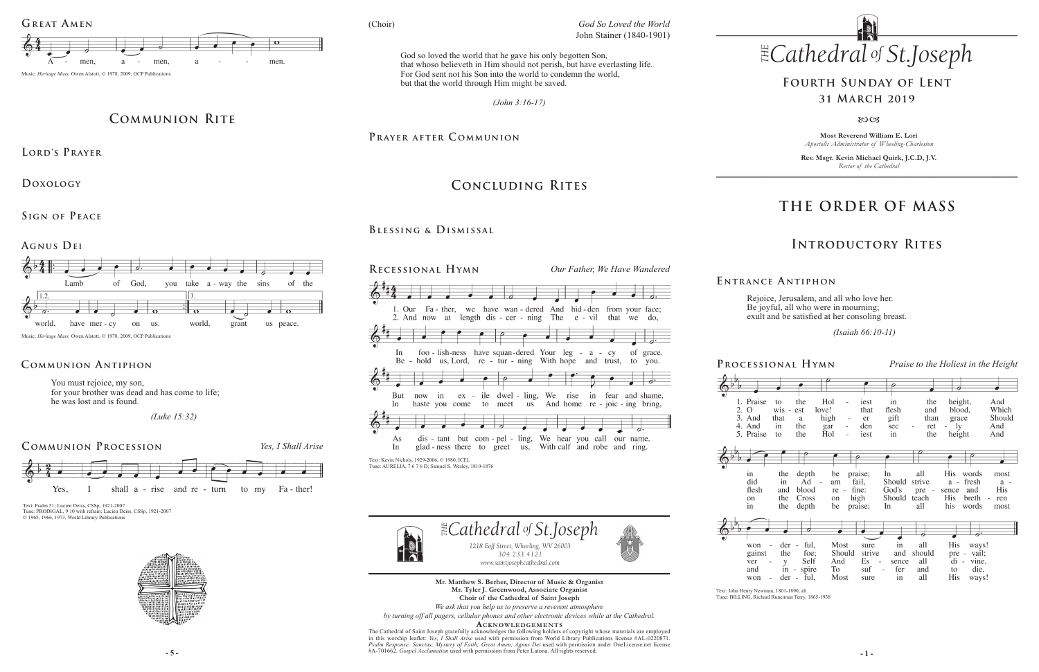**Most Reverend William E. Lori** *Apostolic Administrator of Wheeling-Charleston*

**Rev. Msgr. Kevin Michael Quirk, J.C.D, J.V.** *Rector of the Cathedral*



# **THE ORDER OF MASS**

## **Introductory Rites**

## **Fourth Sunday of Lent 31 March 2019**

 $80C<sub>3</sub>$ 

Rejoice, Jerusalem, and all who love her. Be joyful, all who were in mourning; exult and be satisfied at her consoling breast.

 *(Isaiah 66:10-11)* 

**E ntrance A ntiphon**

**- 5 - - 1 -** #A-701662. *Gospel Acclamation* used with permission from Peter Latona. All rights reserved. The Cathedral of Saint Joseph gratefully acknowledges the following holders of copyright whose materials are employed in this worship leaflet: *Yes, I Shall Arise* used with permission from World Library Publications license #AL-0220871. *Psalm Response; Sanctus; Mystery of Faith; Great Amen; Agnus Dei* used with permission under OneLicense.net license









won gains ver and won

**Mr. Matthew S. Berher, Director of Music & Organist Mr. Tyler J. Greenwood, Associate Organist Choir of the Cathedral of Saint Joseph**

*We ask that you help us to preserve a reverent atmosphere by turning off all pagers, cellular phones and other electronic devices while at the Cathedral.*

**Acknowledgement s**

### **Communion Antiphon**

# **Communion Rite**

**Lord's Prayer**

**Doxology** 

**Sign of Peace** 



**Agnus Dei**



Music: *Heritage Mass,* Owen Alstott, © 1978, 2009, OCP Publications

You must rejoice, my son, for your brother was dead and has come to life; he was lost and is found.

 *(Luke 15:32)* 

# **Concluding Rites**

### **Blessing & Dismissal**





Text: Psalm 51; Lucien Deiss, CSSp, 1921-2007 Tune: PRODIGAL, 9.10 with refrain: Lucien Deiss, CSSp, 1921-2007 © 1965, 1966, 1973, World Library Publications



**Processional Hymn** *Praise to the Holiest in the Height*

| e  | to<br>$\overline{w}$ is $\overline{\phantom{a}}$<br>that<br>in | the<br>est<br>a<br>the           | Hol<br>$\overline{\phantom{0}}$<br>love!<br>high<br>gar<br>$\overline{\phantom{a}}$ | iest<br>that<br>er<br>den | in<br>flesh<br>gift<br>sec | the<br>and<br>than<br>ret | height,<br>blood,<br>grace<br>$-1y$ | And<br>Which<br>Should<br>And   |
|----|----------------------------------------------------------------|----------------------------------|-------------------------------------------------------------------------------------|---------------------------|----------------------------|---------------------------|-------------------------------------|---------------------------------|
| e  | to                                                             | the                              | Hol                                                                                 | iest                      | in                         | the                       |                                     | And                             |
|    |                                                                |                                  | ÷,                                                                                  |                           |                            |                           | height                              |                                 |
|    |                                                                |                                  |                                                                                     |                           |                            |                           |                                     |                                 |
|    |                                                                |                                  |                                                                                     |                           |                            |                           |                                     |                                 |
|    |                                                                |                                  |                                                                                     |                           |                            |                           |                                     |                                 |
|    | the                                                            | depth                            | be                                                                                  | praise;                   | In                         | all                       | <b>His</b><br>words                 | most                            |
|    | in                                                             | Ad                               | am<br>$\overline{\phantom{a}}$                                                      | fail,                     | Should                     | strive                    | fresh<br>$a -$                      | $a -$                           |
|    | and                                                            | blood                            | re -                                                                                | fine:                     | God's                      | pre -                     | and<br>sence                        | <b>His</b>                      |
|    |                                                                |                                  |                                                                                     |                           |                            |                           |                                     |                                 |
|    | the                                                            | Cross                            | on                                                                                  | high                      | Should                     | teach                     | His<br>breth                        | $\overline{\phantom{a}}$<br>ren |
|    | the                                                            | depth                            | be                                                                                  | praise;                   | In                         | all                       | his<br>words                        | most                            |
|    |                                                                |                                  |                                                                                     |                           |                            |                           |                                     |                                 |
|    |                                                                |                                  |                                                                                     |                           |                            |                           |                                     |                                 |
|    |                                                                | 7                                |                                                                                     |                           |                            |                           |                                     |                                 |
|    |                                                                |                                  |                                                                                     |                           |                            |                           |                                     |                                 |
|    | der                                                            | ful,<br>÷,                       | Most                                                                                | sure                      | in                         | all                       | His<br>ways!                        |                                 |
| .t | the                                                            | foe;                             | Should                                                                              | strive                    | and                        | should                    | vail;<br>pre -                      |                                 |
|    | y                                                              | Self                             | And                                                                                 | Es                        | sence                      | all                       | $di -$<br>vine.                     |                                 |
|    | in                                                             | spire                            | To                                                                                  | suf                       | fer                        | and                       | die.<br>to                          |                                 |
|    | der                                                            | ful,<br>$\overline{\phantom{a}}$ | Most                                                                                | sure                      | in                         | all                       | <b>His</b><br>ways!                 |                                 |
|    |                                                                |                                  |                                                                                     |                           |                            |                           |                                     |                                 |

*(John 3:16-17)*

PRAYER AFTER COMMUNION

God so loved the world that he gave his only begotten Son, that whoso believeth in Him should not perish, but have everlasting life. For God sent not his Son into the world to condemn the world, but that the world through Him might be saved.

(Choir)

Text: John Henry Newman, 1801-1890, alt.



Tune: BILLING, Richard Runciman Terry, 1865-1938